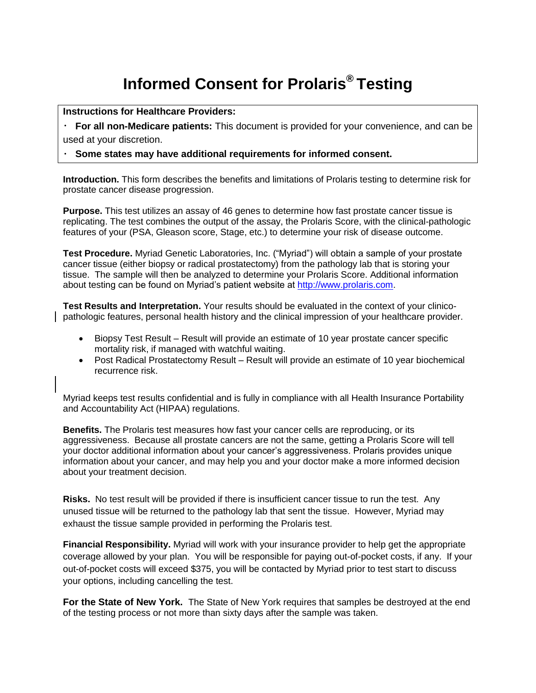## **Informed Consent for Prolaris® Testing**

**Instructions for Healthcare Providers:**

**For all non-Medicare patients:** This document is provided for your convenience, and can be used at your discretion.

## **Some states may have additional requirements for informed consent.**

**Introduction.** This form describes the benefits and limitations of Prolaris testing to determine risk for prostate cancer disease progression.

**Purpose.** This test utilizes an assay of 46 genes to determine how fast prostate cancer tissue is replicating. The test combines the output of the assay, the Prolaris Score, with the clinical-pathologic features of your (PSA, Gleason score, Stage, etc.) to determine your risk of disease outcome.

**Test Procedure.** Myriad Genetic Laboratories, Inc. ("Myriad") will obtain a sample of your prostate cancer tissue (either biopsy or radical prostatectomy) from the pathology lab that is storing your tissue. The sample will then be analyzed to determine your Prolaris Score. Additional information about testing can be found on Myriad's patient website at [http://www.prolaris.com.](http://www.prolaris.com/)

**Test Results and Interpretation.** Your results should be evaluated in the context of your clinicopathologic features, personal health history and the clinical impression of your healthcare provider.

- Biopsy Test Result Result will provide an estimate of 10 year prostate cancer specific mortality risk, if managed with watchful waiting.
- Post Radical Prostatectomy Result Result will provide an estimate of 10 year biochemical recurrence risk.

Myriad keeps test results confidential and is fully in compliance with all Health Insurance Portability and Accountability Act (HIPAA) regulations.

**Benefits.** The Prolaris test measures how fast your cancer cells are reproducing, or its aggressiveness. Because all prostate cancers are not the same, getting a Prolaris Score will tell your doctor additional information about your cancer's aggressiveness. Prolaris provides unique information about your cancer, and may help you and your doctor make a more informed decision about your treatment decision.

**Risks.** No test result will be provided if there is insufficient cancer tissue to run the test. Any unused tissue will be returned to the pathology lab that sent the tissue. However, Myriad may exhaust the tissue sample provided in performing the Prolaris test.

**Financial Responsibility.** Myriad will work with your insurance provider to help get the appropriate coverage allowed by your plan. You will be responsible for paying out-of-pocket costs, if any. If your out-of-pocket costs will exceed \$375, you will be contacted by Myriad prior to test start to discuss your options, including cancelling the test.

**For the State of New York.** The State of New York requires that samples be destroyed at the end of the testing process or not more than sixty days after the sample was taken.